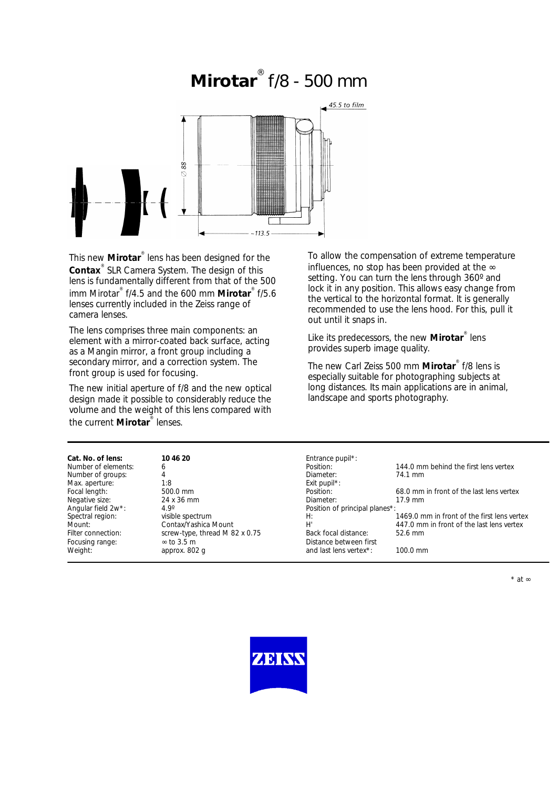# **Mirotar** ® f/8 - 500 mm



This new **Mirotar**® lens has been designed for the **Contax**® SLR Camera System. The design of this lens is fundamentally different from that of the 500 imm Mirotar® f/4.5 and the 600 mm **Mirotar**® f/5.6 lenses currently included in the Zeiss range of camera lenses.

The lens comprises three main components: an element with a mirror-coated back surface, acting as a Mangin mirror, a front group including a secondary mirror, and a correction system. The front group is used for focusing.

The new initial aperture of f/8 and the new optical design made it possible to considerably reduce the volume and the weight of this lens compared with the current **Mirotar**® lenses.

To allow the compensation of extreme temperature influences, no stop has been provided at the ∞ setting. You can turn the lens through 360° and lock it in any position. This allows easy change from the vertical to the horizontal format. It is generally recommended to use the lens hood. For this, pull it out until it snaps in.

Like its predecessors, the new **Mirotar**<sup>®</sup> lens provides superb image quality.

The new Carl Zeiss 500 mm **Mirotar**® f/8 lens is especially suitable for photographing subjects at long distances. Its main applications are in animal, landscape and sports photography.

| Cat. No. of lens:   | 10 46 20                       | Entrance pupil*:               |                                             |
|---------------------|--------------------------------|--------------------------------|---------------------------------------------|
| Number of elements: |                                | Position:                      | 144.0 mm behind the first lens vertex       |
| Number of groups:   |                                | Diameter:                      | 74.1 mm                                     |
| Max. aperture:      | 1:8                            | Exit pupil <sup>*</sup> :      |                                             |
| Focal length:       | $500.0 \text{ mm}$             | Position:                      | 68.0 mm in front of the last lens vertex    |
| Negative size:      | 24 x 36 mm                     | Diameter:                      | $17.9$ mm                                   |
| Angular field 2w*:  | $4.9^\circ$                    | Position of principal planes*: |                                             |
| Spectral region:    | visible spectrum               | H:                             | 1469.0 mm in front of the first lens vertex |
| Mount:              | Contax/Yashica Mount           | Н,                             | 447.0 mm in front of the last lens vertex   |
| Filter connection:  | screw-type, thread M 82 x 0.75 | Back focal distance:           | $52.6$ mm                                   |
| Focusing range:     | $\approx$ to 3.5 m             | Distance between first         |                                             |
| Weight:             | approx. 802 q                  | and last lens vertex*:         | $100.0 \text{ mm}$                          |
|                     |                                |                                |                                             |

\* at ∞